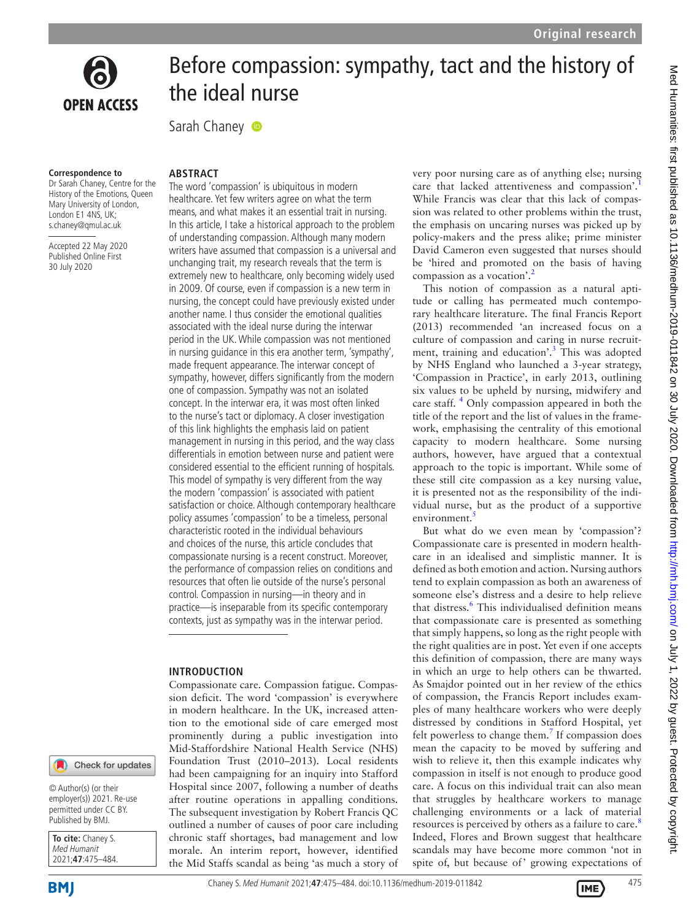

# Before compassion: sympathy, tact and the history of the ideal nurse

Sarah Chaney **D** 

#### **Correspondence to**

Dr Sarah Chaney, Centre for the History of the Emotions, Queen Mary University of London, London E1 4NS, UK; s.chaney@qmul.ac.uk

Accepted 22 May 2020 Published Online First 30 July 2020

#### **Abstract**

The word 'compassion' is ubiquitous in modern healthcare. Yet few writers agree on what the term means, and what makes it an essential trait in nursing. In this article, I take a historical approach to the problem of understanding compassion. Although many modern writers have assumed that compassion is a universal and unchanging trait, my research reveals that the term is extremely new to healthcare, only becoming widely used in 2009. Of course, even if compassion is a new term in nursing, the concept could have previously existed under another name. I thus consider the emotional qualities associated with the ideal nurse during the interwar period in the UK. While compassion was not mentioned in nursing guidance in this era another term, 'sympathy', made frequent appearance. The interwar concept of sympathy, however, differs significantly from the modern one of compassion. Sympathy was not an isolated concept. In the interwar era, it was most often linked to the nurse's tact or diplomacy. A closer investigation of this link highlights the emphasis laid on patient management in nursing in this period, and the way class differentials in emotion between nurse and patient were considered essential to the efficient running of hospitals. This model of sympathy is very different from the way the modern 'compassion' is associated with patient satisfaction or choice. Although contemporary healthcare policy assumes 'compassion' to be a timeless, personal characteristic rooted in the individual behaviours and choices of the nurse, this article concludes that compassionate nursing is a recent construct. Moreover, the performance of compassion relies on conditions and resources that often lie outside of the nurse's personal control. Compassion in nursing—in theory and in practice—is inseparable from its specific contemporary contexts, just as sympathy was in the interwar period.

#### **Introduction**

Compassionate care. Compassion fatigue. Compassion deficit. The word 'compassion' is everywhere in modern healthcare. In the UK, increased attention to the emotional side of care emerged most prominently during a public investigation into Mid-Staffordshire National Health Service (NHS) Foundation Trust (2010–2013). Local residents had been campaigning for an inquiry into Stafford Hospital since 2007, following a number of deaths after routine operations in appalling conditions. The subsequent investigation by Robert Francis QC outlined a number of causes of poor care including chronic staff shortages, bad management and low morale. An interim report, however, identified the Mid Staffs scandal as being 'as much a story of

very poor nursing care as of anything else; nursing care that lacked attentiveness and compassion'.<sup>[1](#page-6-0)</sup> While Francis was clear that this lack of compassion was related to other problems within the trust, the emphasis on uncaring nurses was picked up by policy-makers and the press alike; prime minister David Cameron even suggested that nurses should be 'hired and promoted on the basis of having compassion as a vocation'.<sup>[2](#page-6-1)</sup>

This notion of compassion as a natural aptitude or calling has permeated much contemporary healthcare literature. The final Francis Report (2013) recommended 'an increased focus on a culture of compassion and caring in nurse recruitment, training and education'.<sup>3</sup> This was adopted by NHS England who launched a 3-year strategy, 'Compassion in Practice', in early 2013, outlining six values to be upheld by nursing, midwifery and care staff. [4](#page-6-3) Only compassion appeared in both the title of the report and the list of values in the framework, emphasising the centrality of this emotional capacity to modern healthcare. Some nursing authors, however, have argued that a contextual approach to the topic is important. While some of these still cite compassion as a key nursing value, it is presented not as the responsibility of the individual nurse, but as the product of a supportive environment.<sup>[5](#page-7-0)</sup>

But what do we even mean by 'compassion'? Compassionate care is presented in modern healthcare in an idealised and simplistic manner. It is defined as both emotion and action. Nursing authors tend to explain compassion as both an awareness of someone else's distress and a desire to help relieve that distress.<sup>[6](#page-7-1)</sup> This individualised definition means that compassionate care is presented as something that simply happens, so long as the right people with the right qualities are in post. Yet even if one accepts this definition of compassion, there are many ways in which an urge to help others can be thwarted. As Smajdor pointed out in her review of the ethics of compassion, the Francis Report includes examples of many healthcare workers who were deeply distressed by conditions in Stafford Hospital, yet felt powerless to change them. $\frac{7}{1}$  $\frac{7}{1}$  $\frac{7}{1}$  If compassion does mean the capacity to be moved by suffering and wish to relieve it, then this example indicates why compassion in itself is not enough to produce good care. A focus on this individual trait can also mean that struggles by healthcare workers to manage challenging environments or a lack of material resources is perceived by others as a failure to care.<sup>[8](#page-7-3)</sup> Indeed, Flores and Brown suggest that healthcare scandals may have become more common 'not in spite of, but because of' growing expectations of

© Author(s) (or their employer(s)) 2021. Re-use permitted under CC BY. Published by BMJ.

**To cite:** Chaney S. Med Humanit 2021;**47**:475–484.

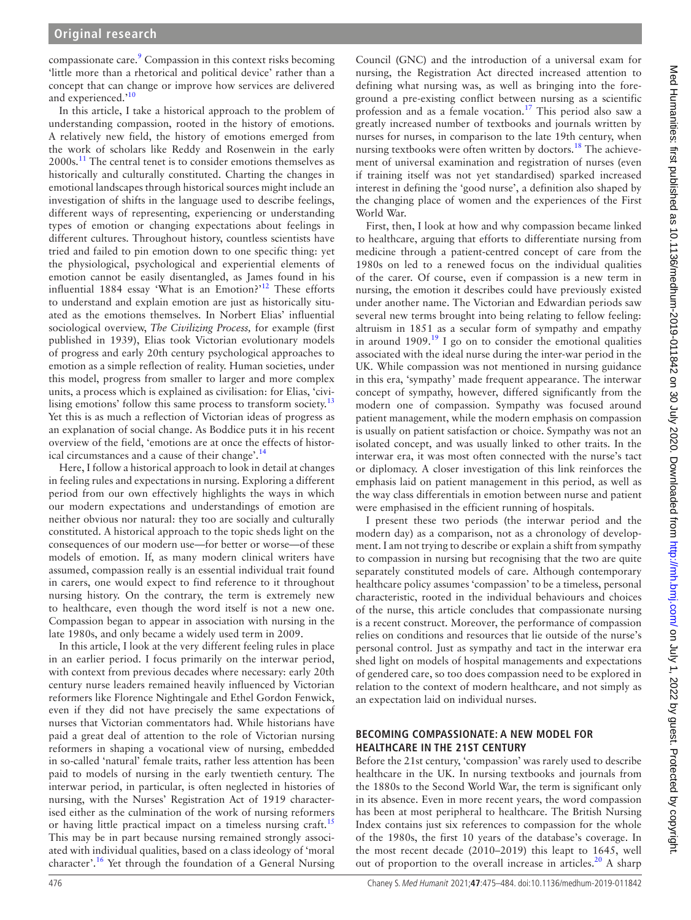compassionate care.<sup>[9](#page-7-4)</sup> Compassion in this context risks becoming 'little more than a rhetorical and political device' rather than a concept that can change or improve how services are delivered and experienced.'<sup>10</sup>

In this article, I take a historical approach to the problem of understanding compassion, rooted in the history of emotions. A relatively new field, the history of emotions emerged from the work of scholars like Reddy and Rosenwein in the early  $2000s<sup>11</sup>$  $2000s<sup>11</sup>$  $2000s<sup>11</sup>$ . The central tenet is to consider emotions themselves as historically and culturally constituted. Charting the changes in emotional landscapes through historical sources might include an investigation of shifts in the language used to describe feelings, different ways of representing, experiencing or understanding types of emotion or changing expectations about feelings in different cultures. Throughout history, countless scientists have tried and failed to pin emotion down to one specific thing: yet the physiological, psychological and experiential elements of emotion cannot be easily disentangled, as James found in his influential 1884 essay 'What is an Emotion?'[12](#page-7-7) These efforts to understand and explain emotion are just as historically situated as the emotions themselves. In Norbert Elias' influential sociological overview, *The Civilizing Process,* for example (first published in 1939), Elias took Victorian evolutionary models of progress and early 20th century psychological approaches to emotion as a simple reflection of reality. Human societies, under this model, progress from smaller to larger and more complex units, a process which is explained as civilisation: for Elias, 'civi-lising emotions' follow this same process to transform society.<sup>[13](#page-7-8)</sup> Yet this is as much a reflection of Victorian ideas of progress as an explanation of social change. As Boddice puts it in his recent overview of the field, 'emotions are at once the effects of historical circumstances and a cause of their change'.<sup>14</sup>

Here, I follow a historical approach to look in detail at changes in feeling rules and expectations in nursing. Exploring a different period from our own effectively highlights the ways in which our modern expectations and understandings of emotion are neither obvious nor natural: they too are socially and culturally constituted. A historical approach to the topic sheds light on the consequences of our modern use—for better or worse—of these models of emotion. If, as many modern clinical writers have assumed, compassion really is an essential individual trait found in carers, one would expect to find reference to it throughout nursing history. On the contrary, the term is extremely new to healthcare, even though the word itself is not a new one. Compassion began to appear in association with nursing in the late 1980s, and only became a widely used term in 2009.

In this article, I look at the very different feeling rules in place in an earlier period. I focus primarily on the interwar period, with context from previous decades where necessary: early 20th century nurse leaders remained heavily influenced by Victorian reformers like Florence Nightingale and Ethel Gordon Fenwick, even if they did not have precisely the same expectations of nurses that Victorian commentators had. While historians have paid a great deal of attention to the role of Victorian nursing reformers in shaping a vocational view of nursing, embedded in so-called 'natural' female traits, rather less attention has been paid to models of nursing in the early twentieth century. The interwar period, in particular, is often neglected in histories of nursing, with the Nurses' Registration Act of 1919 characterised either as the culmination of the work of nursing reformers or having little practical impact on a timeless nursing craft.<sup>[15](#page-7-10)</sup> This may be in part because nursing remained strongly associated with individual qualities, based on a class ideology of 'moral character'.[16](#page-7-11) Yet through the foundation of a General Nursing

Council (GNC) and the introduction of a universal exam for nursing, the Registration Act directed increased attention to defining what nursing was, as well as bringing into the foreground a pre-existing conflict between nursing as a scientific profession and as a female vocation.<sup>17</sup> This period also saw a greatly increased number of textbooks and journals written by nurses for nurses, in comparison to the late 19th century, when nursing textbooks were often written by doctors.<sup>18</sup> The achievement of universal examination and registration of nurses (even if training itself was not yet standardised) sparked increased interest in defining the 'good nurse', a definition also shaped by the changing place of women and the experiences of the First World War.

First, then, I look at how and why compassion became linked to healthcare, arguing that efforts to differentiate nursing from medicine through a patient-centred concept of care from the 1980s on led to a renewed focus on the individual qualities of the carer. Of course, even if compassion is a new term in nursing, the emotion it describes could have previously existed under another name. The Victorian and Edwardian periods saw several new terms brought into being relating to fellow feeling: altruism in 1851 as a secular form of sympathy and empathy in around  $1909<sup>19</sup>$  $1909<sup>19</sup>$  I go on to consider the emotional qualities associated with the ideal nurse during the inter-war period in the UK. While compassion was not mentioned in nursing guidance in this era, 'sympathy' made frequent appearance. The interwar concept of sympathy, however, differed significantly from the modern one of compassion. Sympathy was focused around patient management, while the modern emphasis on compassion is usually on patient satisfaction or choice. Sympathy was not an isolated concept, and was usually linked to other traits. In the interwar era, it was most often connected with the nurse's tact or diplomacy. A closer investigation of this link reinforces the emphasis laid on patient management in this period, as well as the way class differentials in emotion between nurse and patient were emphasised in the efficient running of hospitals.

I present these two periods (the interwar period and the modern day) as a comparison, not as a chronology of development. I am not trying to describe or explain a shift from sympathy to compassion in nursing but recognising that the two are quite separately constituted models of care. Although contemporary healthcare policy assumes 'compassion' to be a timeless, personal characteristic, rooted in the individual behaviours and choices of the nurse, this article concludes that compassionate nursing is a recent construct. Moreover, the performance of compassion relies on conditions and resources that lie outside of the nurse's personal control. Just as sympathy and tact in the interwar era shed light on models of hospital managements and expectations of gendered care, so too does compassion need to be explored in relation to the context of modern healthcare, and not simply as an expectation laid on individual nurses.

#### **Becoming compassionate: a new model for healthcare in the 21st century**

Before the 21st century, 'compassion' was rarely used to describe healthcare in the UK. In nursing textbooks and journals from the 1880s to the Second World War, the term is significant only in its absence. Even in more recent years, the word compassion has been at most peripheral to healthcare. The British Nursing Index contains just six references to compassion for the whole of the 1980s, the first 10 years of the database's coverage. In the most recent decade (2010–2019) this leapt to 1645, well out of proportion to the overall increase in articles.<sup>[20](#page-7-15)</sup> A sharp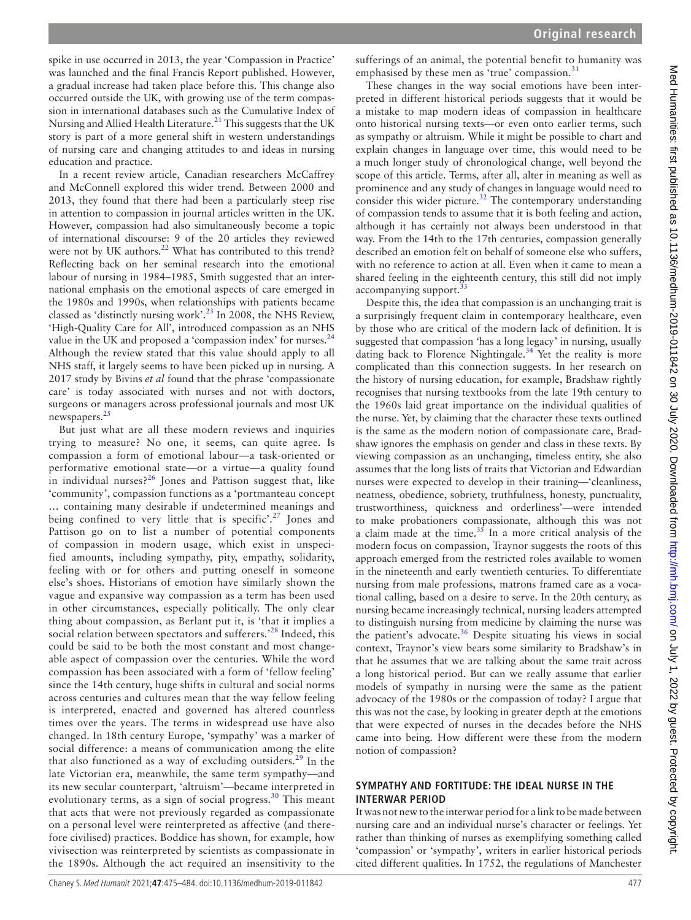spike in use occurred in 2013, the year 'Compassion in Practice' was launched and the final Francis Report published. However, a gradual increase had taken place before this. This change also occurred outside the UK, with growing use of the term compassion in international databases such as the Cumulative Index of Nursing and Allied Health Literature.<sup>[21](#page-7-16)</sup> This suggests that the UK story is part of a more general shift in western understandings of nursing care and changing attitudes to and ideas in nursing education and practice.

In a recent review article, Canadian researchers McCaffrey and McConnell explored this wider trend. Between 2000 and 2013, they found that there had been a particularly steep rise in attention to compassion in journal articles written in the UK. However, compassion had also simultaneously become a topic of international discourse: 9 of the 20 articles they reviewed were not by UK authors.<sup>22</sup> What has contributed to this trend? Reflecting back on her seminal research into the emotional labour of nursing in 1984–1985, Smith suggested that an international emphasis on the emotional aspects of care emerged in the 1980s and 1990s, when relationships with patients became classed as 'distinctly nursing work'.[23](#page-7-18) In 2008, the NHS Review, 'High-Quality Care for All', introduced compassion as an NHS value in the UK and proposed a 'compassion index' for nurses.<sup>[24](#page-7-19)</sup> Although the review stated that this value should apply to all NHS staff, it largely seems to have been picked up in nursing. A 2017 study by Bivins *et al* found that the phrase 'compassionate care' is today associated with nurses and not with doctors, surgeons or managers across professional journals and most UK newspapers.[25](#page-7-20)

But just what are all these modern reviews and inquiries trying to measure? No one, it seems, can quite agree. Is compassion a form of emotional labour—a task-oriented or performative emotional state—or a virtue—a quality found in individual nurses? $26$  Jones and Pattison suggest that, like 'community', compassion functions as a 'portmanteau concept … containing many desirable if undetermined meanings and being confined to very little that is specific'.<sup>27</sup> Jones and Pattison go on to list a number of potential components of compassion in modern usage, which exist in unspecified amounts, including sympathy, pity, empathy, solidarity, feeling with or for others and putting oneself in someone else's shoes. Historians of emotion have similarly shown the vague and expansive way compassion as a term has been used in other circumstances, especially politically. The only clear thing about compassion, as Berlant put it, is 'that it implies a social relation between spectators and sufferers.<sup>[28](#page-7-23)</sup> Indeed, this could be said to be both the most constant and most changeable aspect of compassion over the centuries. While the word compassion has been associated with a form of 'fellow feeling' since the 14th century, huge shifts in cultural and social norms across centuries and cultures mean that the way fellow feeling is interpreted, enacted and governed has altered countless times over the years. The terms in widespread use have also changed. In 18th century Europe, 'sympathy' was a marker of social difference: a means of communication among the elite that also functioned as a way of excluding outsiders.<sup>29</sup> In the late Victorian era, meanwhile, the same term sympathy—and its new secular counterpart, 'altruism'—became interpreted in evolutionary terms, as a sign of social progress.<sup>30</sup> This meant that acts that were not previously regarded as compassionate on a personal level were reinterpreted as affective (and therefore civilised) practices. Boddice has shown, for example, how vivisection was reinterpreted by scientists as compassionate in the 1890s. Although the act required an insensitivity to the

sufferings of an animal, the potential benefit to humanity was emphasised by these men as 'true' compassion. $31$ 

These changes in the way social emotions have been interpreted in different historical periods suggests that it would be a mistake to map modern ideas of compassion in healthcare onto historical nursing texts—or even onto earlier terms, such as sympathy or altruism. While it might be possible to chart and explain changes in language over time, this would need to be a much longer study of chronological change, well beyond the scope of this article. Terms, after all, alter in meaning as well as prominence and any study of changes in language would need to consider this wider picture. $32$  The contemporary understanding of compassion tends to assume that it is both feeling and action, although it has certainly not always been understood in that way. From the 14th to the 17th centuries, compassion generally described an emotion felt on behalf of someone else who suffers, with no reference to action at all. Even when it came to mean a shared feeling in the eighteenth century, this still did not imply accompanying support.<sup>[33](#page-7-28)</sup>

Despite this, the idea that compassion is an unchanging trait is a surprisingly frequent claim in contemporary healthcare, even by those who are critical of the modern lack of definition. It is suggested that compassion 'has a long legacy' in nursing, usually dating back to Florence Nightingale.<sup>34</sup> Yet the reality is more complicated than this connection suggests. In her research on the history of nursing education, for example, Bradshaw rightly recognises that nursing textbooks from the late 19th century to the 1960s laid great importance on the individual qualities of the nurse. Yet, by claiming that the character these texts outlined is the same as the modern notion of compassionate care, Bradshaw ignores the emphasis on gender and class in these texts. By viewing compassion as an unchanging, timeless entity, she also assumes that the long lists of traits that Victorian and Edwardian nurses were expected to develop in their training—'cleanliness, neatness, obedience, sobriety, truthfulness, honesty, punctuality, trustworthiness, quickness and orderliness'—were intended to make probationers compassionate, although this was not a claim made at the time. $3^5$  In a more critical analysis of the modern focus on compassion, Traynor suggests the roots of this approach emerged from the restricted roles available to women in the nineteenth and early twentieth centuries. To differentiate nursing from male professions, matrons framed care as a vocational calling, based on a desire to serve. In the 20th century, as nursing became increasingly technical, nursing leaders attempted to distinguish nursing from medicine by claiming the nurse was the patient's advocate.<sup>[36](#page-7-31)</sup> Despite situating his views in social context, Traynor's view bears some similarity to Bradshaw's in that he assumes that we are talking about the same trait across a long historical period. But can we really assume that earlier models of sympathy in nursing were the same as the patient advocacy of the 1980s or the compassion of today? I argue that this was not the case, by looking in greater depth at the emotions that were expected of nurses in the decades before the NHS came into being. How different were these from the modern notion of compassion?

#### **SYMPATHY AND FORTITUDE: THE IDEAL NURSE IN THE interwar period**

It was not new to the interwar period for a link to be made between nursing care and an individual nurse's character or feelings. Yet rather than thinking of nurses as exemplifying something called 'compassion' or 'sympathy', writers in earlier historical periods cited different qualities. In 1752, the regulations of Manchester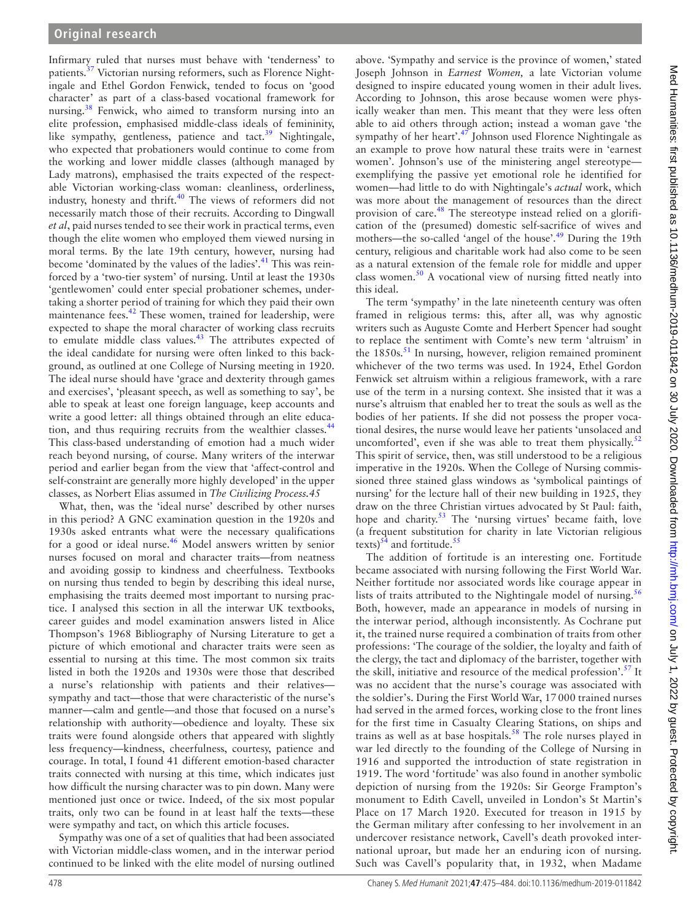Infirmary ruled that nurses must behave with 'tenderness' to patients.<sup>[37](#page-7-32)</sup> Victorian nursing reformers, such as Florence Nightingale and Ethel Gordon Fenwick, tended to focus on 'good character' as part of a class-based vocational framework for nursing.<sup>38</sup> Fenwick, who aimed to transform nursing into an elite profession, emphasised middle-class ideals of femininity, like sympathy, gentleness, patience and tact.<sup>39</sup> Nightingale, who expected that probationers would continue to come from the working and lower middle classes (although managed by Lady matrons), emphasised the traits expected of the respectable Victorian working-class woman: cleanliness, orderliness, industry, honesty and thrift.<sup>[40](#page-7-35)</sup> The views of reformers did not necessarily match those of their recruits. According to Dingwall *et al*, paid nurses tended to see their work in practical terms, even though the elite women who employed them viewed nursing in moral terms. By the late 19th century, however, nursing had become 'dominated by the values of the ladies'.<sup>41</sup> This was reinforced by a 'two-tier system' of nursing. Until at least the 1930s 'gentlewomen' could enter special probationer schemes, undertaking a shorter period of training for which they paid their own maintenance fees.<sup>[42](#page-7-37)</sup> These women, trained for leadership, were expected to shape the moral character of working class recruits to emulate middle class values.<sup>43</sup> The attributes expected of the ideal candidate for nursing were often linked to this background, as outlined at one College of Nursing meeting in 1920. The ideal nurse should have 'grace and dexterity through games and exercises', 'pleasant speech, as well as something to say', be able to speak at least one foreign language, keep accounts and write a good letter: all things obtained through an elite education, and thus requiring recruits from the wealthier classes.<sup>4</sup> This class-based understanding of emotion had a much wider reach beyond nursing, of course. Many writers of the interwar period and earlier began from the view that 'affect-control and self-constraint are generally more highly developed' in the upper classes, as Norbert Elias assumed in *The Civilizing Process.[45](#page-7-40)*

What, then, was the 'ideal nurse' described by other nurses in this period? A GNC examination question in the 1920s and 1930s asked entrants what were the necessary qualifications for a good or ideal nurse.<sup>[46](#page-7-41)</sup> Model answers written by senior nurses focused on moral and character traits—from neatness and avoiding gossip to kindness and cheerfulness. Textbooks on nursing thus tended to begin by describing this ideal nurse, emphasising the traits deemed most important to nursing practice. I analysed this section in all the interwar UK textbooks, career guides and model examination answers listed in Alice Thompson's 1968 Bibliography of Nursing Literature to get a picture of which emotional and character traits were seen as essential to nursing at this time. The most common six traits listed in both the 1920s and 1930s were those that described a nurse's relationship with patients and their relatives sympathy and tact—those that were characteristic of the nurse's manner—calm and gentle—and those that focused on a nurse's relationship with authority—obedience and loyalty. These six traits were found alongside others that appeared with slightly less frequency—kindness, cheerfulness, courtesy, patience and courage. In total, I found 41 different emotion-based character traits connected with nursing at this time, which indicates just how difficult the nursing character was to pin down. Many were mentioned just once or twice. Indeed, of the six most popular traits, only two can be found in at least half the texts—these were sympathy and tact, on which this article focuses.

Sympathy was one of a set of qualities that had been associated with Victorian middle-class women, and in the interwar period continued to be linked with the elite model of nursing outlined

above. 'Sympathy and service is the province of women,' stated Joseph Johnson in *Earnest Women,* a late Victorian volume designed to inspire educated young women in their adult lives. According to Johnson, this arose because women were physically weaker than men. This meant that they were less often able to aid others through action; instead a woman gave 'the sympathy of her heart'.<sup>47</sup> Johnson used Florence Nightingale as an example to prove how natural these traits were in 'earnest women'. Johnson's use of the ministering angel stereotype exemplifying the passive yet emotional role he identified for women—had little to do with Nightingale's *actual* work, which was more about the management of resources than the direct provision of care.[48](#page-7-43) The stereotype instead relied on a glorification of the (presumed) domestic self-sacrifice of wives and mothers—the so-called 'angel of the house'.<sup>[49](#page-7-44)</sup> During the 19th century, religious and charitable work had also come to be seen as a natural extension of the female role for middle and upper class women.<sup>[50](#page-7-45)</sup> A vocational view of nursing fitted neatly into this ideal.

The term 'sympathy' in the late nineteenth century was often framed in religious terms: this, after all, was why agnostic writers such as Auguste Comte and Herbert Spencer had sought to replace the sentiment with Comte's new term 'altruism' in the  $1850s$ .<sup>[51](#page-7-46)</sup> In nursing, however, religion remained prominent whichever of the two terms was used. In 1924, Ethel Gordon Fenwick set altruism within a religious framework, with a rare use of the term in a nursing context. She insisted that it was a nurse's altruism that enabled her to treat the souls as well as the bodies of her patients. If she did not possess the proper vocational desires, the nurse would leave her patients 'unsolaced and uncomforted', even if she was able to treat them physically. $52$ This spirit of service, then, was still understood to be a religious imperative in the 1920s. When the College of Nursing commissioned three stained glass windows as 'symbolical paintings of nursing' for the lecture hall of their new building in 1925, they draw on the three Christian virtues advocated by St Paul: faith, hope and charity.<sup>[53](#page-8-1)</sup> The 'nursing virtues' became faith, love (a frequent substitution for charity in late Victorian religious texts) $\frac{5}{4}$  and fortitude.<sup>55</sup>

The addition of fortitude is an interesting one. Fortitude became associated with nursing following the First World War. Neither fortitude nor associated words like courage appear in lists of traits attributed to the Nightingale model of nursing.<sup>[56](#page-8-4)</sup> Both, however, made an appearance in models of nursing in the interwar period, although inconsistently. As Cochrane put it, the trained nurse required a combination of traits from other professions: 'The courage of the soldier, the loyalty and faith of the clergy, the tact and diplomacy of the barrister, together with the skill, initiative and resource of the medical profession'.<sup>57</sup> It was no accident that the nurse's courage was associated with the soldier's. During the First World War, 17 000 trained nurses had served in the armed forces, working close to the front lines for the first time in Casualty Clearing Stations, on ships and trains as well as at base hospitals.<sup>58</sup> The role nurses played in war led directly to the founding of the College of Nursing in 1916 and supported the introduction of state registration in 1919. The word 'fortitude' was also found in another symbolic depiction of nursing from the 1920s: Sir George Frampton's monument to Edith Cavell, unveiled in London's St Martin's Place on 17 March 1920. Executed for treason in 1915 by the German military after confessing to her involvement in an undercover resistance network, Cavell's death provoked international uproar, but made her an enduring icon of nursing. Such was Cavell's popularity that, in 1932, when Madame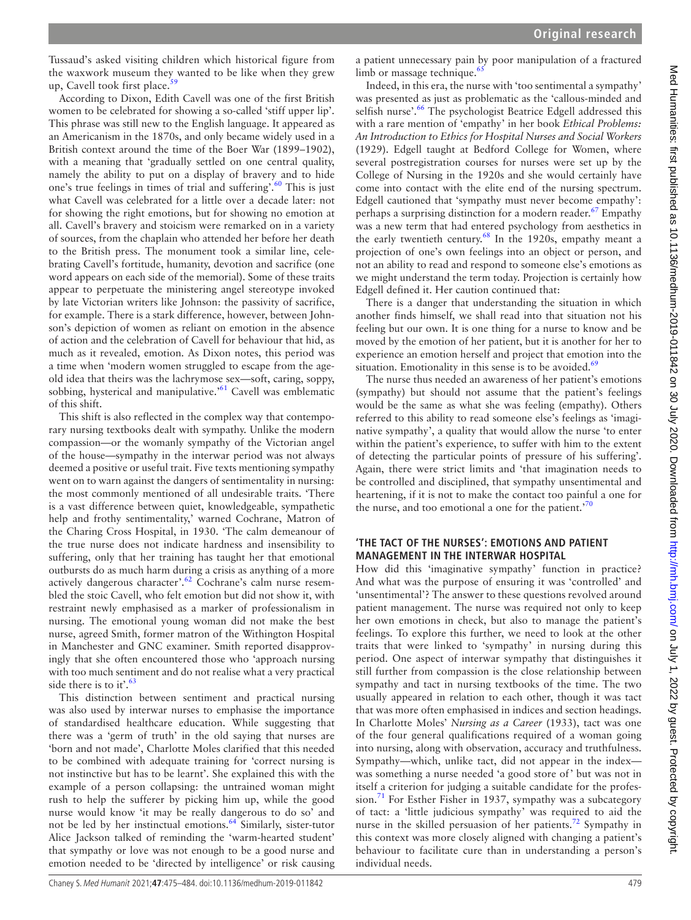Tussaud's asked visiting children which historical figure from the waxwork museum they wanted to be like when they grew up, Cavell took first place. $\frac{5}{3}$ 

According to Dixon, Edith Cavell was one of the first British women to be celebrated for showing a so-called 'stiff upper lip'. This phrase was still new to the English language. It appeared as an Americanism in the 1870s, and only became widely used in a British context around the time of the Boer War (1899–1902), with a meaning that 'gradually settled on one central quality, namely the ability to put on a display of bravery and to hide one's true feelings in times of trial and suffering'.<sup>[60](#page-8-8)</sup> This is just what Cavell was celebrated for a little over a decade later: not for showing the right emotions, but for showing no emotion at all. Cavell's bravery and stoicism were remarked on in a variety of sources, from the chaplain who attended her before her death to the British press. The monument took a similar line, celebrating Cavell's fortitude, humanity, devotion and sacrifice (one word appears on each side of the memorial). Some of these traits appear to perpetuate the ministering angel stereotype invoked by late Victorian writers like Johnson: the passivity of sacrifice, for example. There is a stark difference, however, between Johnson's depiction of women as reliant on emotion in the absence of action and the celebration of Cavell for behaviour that hid, as much as it revealed, emotion. As Dixon notes, this period was a time when 'modern women struggled to escape from the ageold idea that theirs was the lachrymose sex—soft, caring, soppy, sobbing, hysterical and manipulative.<sup>'[61](#page-8-9)</sup> Cavell was emblematic of this shift.

This shift is also reflected in the complex way that contemporary nursing textbooks dealt with sympathy. Unlike the modern compassion—or the womanly sympathy of the Victorian angel of the house—sympathy in the interwar period was not always deemed a positive or useful trait. Five texts mentioning sympathy went on to warn against the dangers of sentimentality in nursing: the most commonly mentioned of all undesirable traits. 'There is a vast difference between quiet, knowledgeable, sympathetic help and frothy sentimentality,' warned Cochrane, Matron of the Charing Cross Hospital, in 1930. 'The calm demeanour of the true nurse does not indicate hardness and insensibility to suffering, only that her training has taught her that emotional outbursts do as much harm during a crisis as anything of a more actively dangerous character'.<sup>62</sup> Cochrane's calm nurse resembled the stoic Cavell, who felt emotion but did not show it, with restraint newly emphasised as a marker of professionalism in nursing. The emotional young woman did not make the best nurse, agreed Smith, former matron of the Withington Hospital in Manchester and GNC examiner. Smith reported disapprovingly that she often encountered those who 'approach nursing with too much sentiment and do not realise what a very practical side there is to it'.  $63$ 

This distinction between sentiment and practical nursing was also used by interwar nurses to emphasise the importance of standardised healthcare education. While suggesting that there was a 'germ of truth' in the old saying that nurses are 'born and not made', Charlotte Moles clarified that this needed to be combined with adequate training for 'correct nursing is not instinctive but has to be learnt'. She explained this with the example of a person collapsing: the untrained woman might rush to help the sufferer by picking him up, while the good nurse would know 'it may be really dangerous to do so' and not be led by her instinctual emotions. $64$  Similarly, sister-tutor Alice Jackson talked of reminding the 'warm-hearted student' that sympathy or love was not enough to be a good nurse and emotion needed to be 'directed by intelligence' or risk causing

a patient unnecessary pain by poor manipulation of a fractured limb or massage technique. $65$ 

Indeed, in this era, the nurse with 'too sentimental a sympathy' was presented as just as problematic as the 'callous-minded and selfish nurse'.<sup>[66](#page-8-14)</sup> The psychologist Beatrice Edgell addressed this with a rare mention of 'empathy' in her book *Ethical Problems: An Introduction to Ethics for Hospital Nurses and Social Workers* (1929). Edgell taught at Bedford College for Women, where several postregistration courses for nurses were set up by the College of Nursing in the 1920s and she would certainly have come into contact with the elite end of the nursing spectrum. Edgell cautioned that 'sympathy must never become empathy': perhaps a surprising distinction for a modern reader.<sup>[67](#page-8-15)</sup> Empathy was a new term that had entered psychology from aesthetics in the early twentieth century.<sup>68</sup> In the 1920s, empathy meant a projection of one's own feelings into an object or person, and not an ability to read and respond to someone else's emotions as we might understand the term today. Projection is certainly how Edgell defined it. Her caution continued that:

There is a danger that understanding the situation in which another finds himself, we shall read into that situation not his feeling but our own. It is one thing for a nurse to know and be moved by the emotion of her patient, but it is another for her to experience an emotion herself and project that emotion into the situation. Emotionality in this sense is to be avoided. $69$ 

The nurse thus needed an awareness of her patient's emotions (sympathy) but should not assume that the patient's feelings would be the same as what she was feeling (empathy). Others referred to this ability to read someone else's feelings as 'imaginative sympathy', a quality that would allow the nurse 'to enter within the patient's experience, to suffer with him to the extent of detecting the particular points of pressure of his suffering'. Again, there were strict limits and 'that imagination needs to be controlled and disciplined, that sympathy unsentimental and heartening, if it is not to make the contact too painful a one for the nurse, and too emotional a one for the patient.<sup>[70](#page-8-18)</sup>

#### **'THE TACT OF THE NURSES': EMOTIONS AND PATIENT management in the interwar hospital**

How did this 'imaginative sympathy' function in practice? And what was the purpose of ensuring it was 'controlled' and 'unsentimental'? The answer to these questions revolved around patient management. The nurse was required not only to keep her own emotions in check, but also to manage the patient's feelings. To explore this further, we need to look at the other traits that were linked to 'sympathy' in nursing during this period. One aspect of interwar sympathy that distinguishes it still further from compassion is the close relationship between sympathy and tact in nursing textbooks of the time. The two usually appeared in relation to each other, though it was tact that was more often emphasised in indices and section headings. In Charlotte Moles' *Nursing as a Career* (1933), tact was one of the four general qualifications required of a woman going into nursing, along with observation, accuracy and truthfulness. Sympathy—which, unlike tact, did not appear in the index was something a nurse needed 'a good store of' but was not in itself a criterion for judging a suitable candidate for the profession.<sup>71</sup> For Esther Fisher in 1937, sympathy was a subcategory of tact: a 'little judicious sympathy' was required to aid the nurse in the skilled persuasion of her patients.<sup>[72](#page-8-20)</sup> Sympathy in this context was more closely aligned with changing a patient's behaviour to facilitate cure than in understanding a person's individual needs.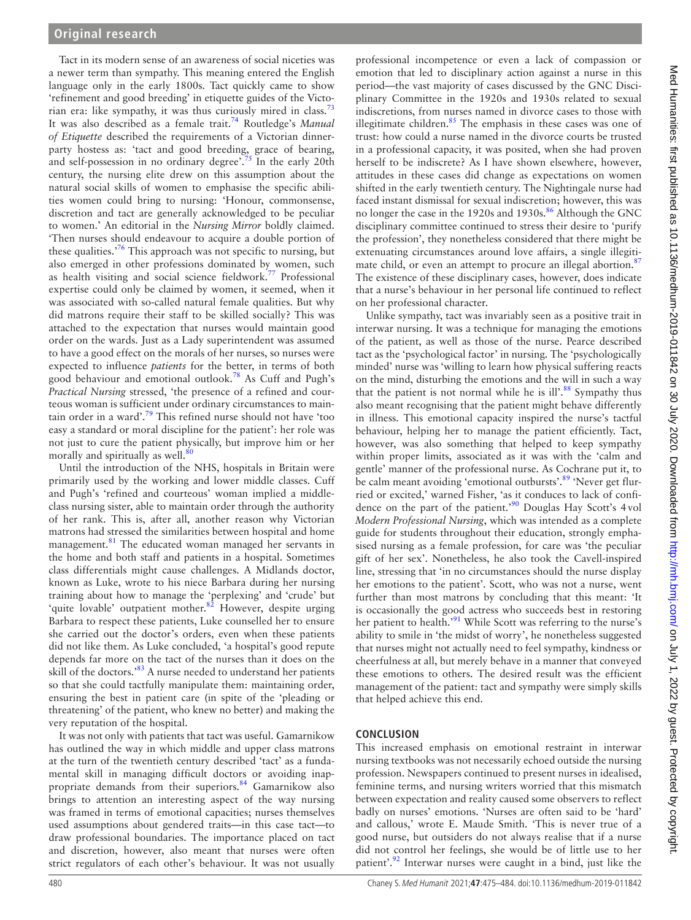Tact in its modern sense of an awareness of social niceties was a newer term than sympathy. This meaning entered the English language only in the early 1800s. Tact quickly came to show 'refinement and good breeding' in etiquette guides of the Victorian era: like sympathy, it was thus curiously mired in class.<sup>7</sup> It was also described as a female trait[.74](#page-8-22) Routledge's *Manual of Etiquette* described the requirements of a Victorian dinnerparty hostess as: 'tact and good breeding, grace of bearing, and self-possession in no ordinary degree'.<sup>[75](#page-8-23)</sup> In the early 20th century, the nursing elite drew on this assumption about the natural social skills of women to emphasise the specific abilities women could bring to nursing: 'Honour, commonsense, discretion and tact are generally acknowledged to be peculiar to women.' An editorial in the *Nursing Mirror* boldly claimed. 'Then nurses should endeavour to acquire a double portion of these qualities.['76](#page-8-24) This approach was not specific to nursing, but also emerged in other professions dominated by women, such as health visiting and social science fieldwork.<sup>77</sup> Professional expertise could only be claimed by women, it seemed, when it was associated with so-called natural female qualities. But why did matrons require their staff to be skilled socially? This was attached to the expectation that nurses would maintain good order on the wards. Just as a Lady superintendent was assumed to have a good effect on the morals of her nurses, so nurses were expected to influence *patients* for the better, in terms of both good behaviour and emotional outlook.[78](#page-8-26) As Cuff and Pugh's *Practical Nursing* stressed, 'the presence of a refined and courteous woman is sufficient under ordinary circumstances to maintain order in a ward'.[79](#page-8-27) This refined nurse should not have 'too easy a standard or moral discipline for the patient': her role was not just to cure the patient physically, but improve him or her morally and spiritually as well.<sup>80</sup>

Until the introduction of the NHS, hospitals in Britain were primarily used by the working and lower middle classes. Cuff and Pugh's 'refined and courteous' woman implied a middleclass nursing sister, able to maintain order through the authority of her rank. This is, after all, another reason why Victorian matrons had stressed the similarities between hospital and home management.[81](#page-8-29) The educated woman managed her servants in the home and both staff and patients in a hospital. Sometimes class differentials might cause challenges. A Midlands doctor, known as Luke, wrote to his niece Barbara during her nursing training about how to manage the 'perplexing' and 'crude' but 'quite lovable' outpatient mother.<sup>82</sup> However, despite urging Barbara to respect these patients, Luke counselled her to ensure she carried out the doctor's orders, even when these patients did not like them. As Luke concluded, 'a hospital's good repute depends far more on the tact of the nurses than it does on the skill of the doctors.<sup>83</sup> A nurse needed to understand her patients so that she could tactfully manipulate them: maintaining order, ensuring the best in patient care (in spite of the 'pleading or threatening' of the patient, who knew no better) and making the very reputation of the hospital.

It was not only with patients that tact was useful. Gamarnikow has outlined the way in which middle and upper class matrons at the turn of the twentieth century described 'tact' as a fundamental skill in managing difficult doctors or avoiding inap-propriate demands from their superiors.<sup>[84](#page-8-32)</sup> Gamarnikow also brings to attention an interesting aspect of the way nursing was framed in terms of emotional capacities; nurses themselves used assumptions about gendered traits—in this case tact—to draw professional boundaries. The importance placed on tact and discretion, however, also meant that nurses were often strict regulators of each other's behaviour. It was not usually

professional incompetence or even a lack of compassion or emotion that led to disciplinary action against a nurse in this period—the vast majority of cases discussed by the GNC Disciplinary Committee in the 1920s and 1930s related to sexual indiscretions, from nurses named in divorce cases to those with illegitimate children. $85$  The emphasis in these cases was one of trust: how could a nurse named in the divorce courts be trusted in a professional capacity, it was posited, when she had proven herself to be indiscrete? As I have shown elsewhere, however, attitudes in these cases did change as expectations on women shifted in the early twentieth century. The Nightingale nurse had faced instant dismissal for sexual indiscretion; however, this was no longer the case in the 1920s and 1930s.<sup>[86](#page-8-34)</sup> Although the GNC disciplinary committee continued to stress their desire to 'purify the profession', they nonetheless considered that there might be extenuating circumstances around love affairs, a single illegiti-mate child, or even an attempt to procure an illegal abortion.<sup>[87](#page-8-35)</sup> The existence of these disciplinary cases, however, does indicate that a nurse's behaviour in her personal life continued to reflect on her professional character.

Unlike sympathy, tact was invariably seen as a positive trait in interwar nursing. It was a technique for managing the emotions of the patient, as well as those of the nurse. Pearce described tact as the 'psychological factor' in nursing. The 'psychologically minded' nurse was 'willing to learn how physical suffering reacts on the mind, disturbing the emotions and the will in such a way that the patient is not normal while he is ill'.<sup>[88](#page-8-36)</sup> Sympathy thus also meant recognising that the patient might behave differently in illness. This emotional capacity inspired the nurse's tactful behaviour, helping her to manage the patient efficiently. Tact, however, was also something that helped to keep sympathy within proper limits, associated as it was with the 'calm and gentle' manner of the professional nurse. As Cochrane put it, to be calm meant avoiding 'emotional outbursts'.<sup>89</sup> 'Never get flurried or excited,' warned Fisher, 'as it conduces to lack of confidence on the part of the patient.'[90](#page-8-38) Douglas Hay Scott's 4vol *Modern Professional Nursing*, which was intended as a complete guide for students throughout their education, strongly emphasised nursing as a female profession, for care was 'the peculiar gift of her sex'. Nonetheless, he also took the Cavell-inspired line, stressing that 'in no circumstances should the nurse display her emotions to the patient'. Scott, who was not a nurse, went further than most matrons by concluding that this meant: 'It is occasionally the good actress who succeeds best in restoring her patient to health.<sup>[91](#page-8-39)</sup> While Scott was referring to the nurse's ability to smile in 'the midst of worry', he nonetheless suggested that nurses might not actually need to feel sympathy, kindness or cheerfulness at all, but merely behave in a manner that conveyed these emotions to others. The desired result was the efficient management of the patient: tact and sympathy were simply skills that helped achieve this end.

#### **Conclusion**

This increased emphasis on emotional restraint in interwar nursing textbooks was not necessarily echoed outside the nursing profession. Newspapers continued to present nurses in idealised, feminine terms, and nursing writers worried that this mismatch between expectation and reality caused some observers to reflect badly on nurses' emotions. 'Nurses are often said to be 'hard' and callous,' wrote E. Maude Smith. 'This is never true of a good nurse, but outsiders do not always realise that if a nurse did not control her feelings, she would be of little use to her patient'[.92](#page-8-40) Interwar nurses were caught in a bind, just like the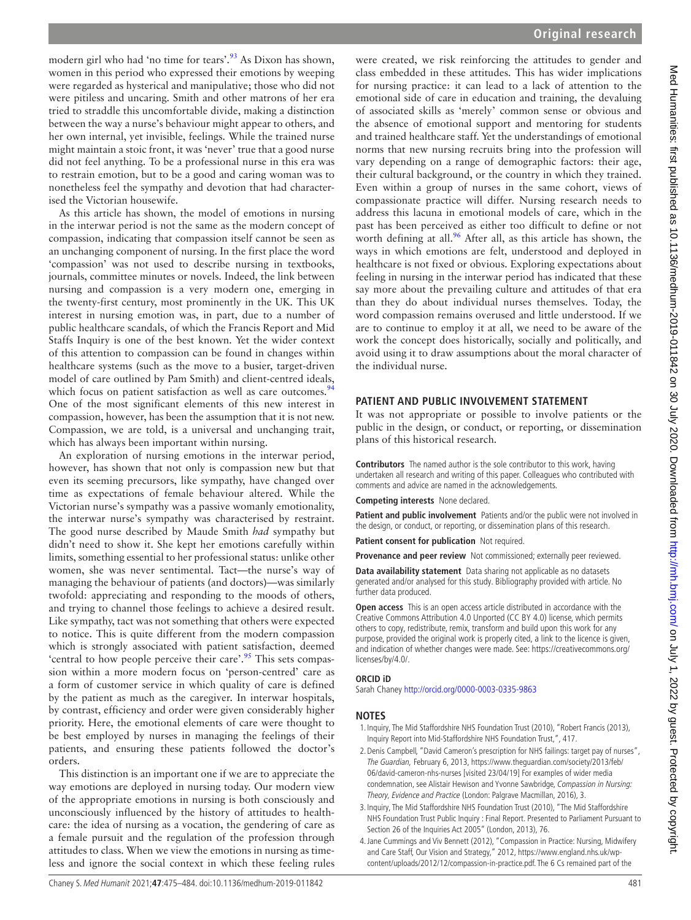modern girl who had 'no time for tears'.<sup>93</sup> As Dixon has shown, women in this period who expressed their emotions by weeping were regarded as hysterical and manipulative; those who did not were pitiless and uncaring. Smith and other matrons of her era tried to straddle this uncomfortable divide, making a distinction between the way a nurse's behaviour might appear to others, and her own internal, yet invisible, feelings. While the trained nurse might maintain a stoic front, it was 'never' true that a good nurse did not feel anything. To be a professional nurse in this era was to restrain emotion, but to be a good and caring woman was to nonetheless feel the sympathy and devotion that had characterised the Victorian housewife.

As this article has shown, the model of emotions in nursing in the interwar period is not the same as the modern concept of compassion, indicating that compassion itself cannot be seen as an unchanging component of nursing. In the first place the word 'compassion' was not used to describe nursing in textbooks, journals, committee minutes or novels. Indeed, the link between nursing and compassion is a very modern one, emerging in the twenty-first century, most prominently in the UK. This UK interest in nursing emotion was, in part, due to a number of public healthcare scandals, of which the Francis Report and Mid Staffs Inquiry is one of the best known. Yet the wider context of this attention to compassion can be found in changes within healthcare systems (such as the move to a busier, target-driven model of care outlined by Pam Smith) and client-centred ideals, which focus on patient satisfaction as well as care outcomes. One of the most significant elements of this new interest in compassion, however, has been the assumption that it is not new. Compassion, we are told, is a universal and unchanging trait, which has always been important within nursing.

An exploration of nursing emotions in the interwar period, however, has shown that not only is compassion new but that even its seeming precursors, like sympathy, have changed over time as expectations of female behaviour altered. While the Victorian nurse's sympathy was a passive womanly emotionality, the interwar nurse's sympathy was characterised by restraint. The good nurse described by Maude Smith *had* sympathy but didn't need to show it. She kept her emotions carefully within limits, something essential to her professional status: unlike other women, she was never sentimental. Tact—the nurse's way of managing the behaviour of patients (and doctors)—was similarly twofold: appreciating and responding to the moods of others, and trying to channel those feelings to achieve a desired result. Like sympathy, tact was not something that others were expected to notice. This is quite different from the modern compassion which is strongly associated with patient satisfaction, deemed 'central to how people perceive their care'.<sup>95</sup> This sets compassion within a more modern focus on 'person-centred' care as a form of customer service in which quality of care is defined by the patient as much as the caregiver. In interwar hospitals, by contrast, efficiency and order were given considerably higher priority. Here, the emotional elements of care were thought to be best employed by nurses in managing the feelings of their patients, and ensuring these patients followed the doctor's orders.

This distinction is an important one if we are to appreciate the way emotions are deployed in nursing today. Our modern view of the appropriate emotions in nursing is both consciously and unconsciously influenced by the history of attitudes to healthcare: the idea of nursing as a vocation, the gendering of care as a female pursuit and the regulation of the profession through attitudes to class. When we view the emotions in nursing as timeless and ignore the social context in which these feeling rules

were created, we risk reinforcing the attitudes to gender and class embedded in these attitudes. This has wider implications for nursing practice: it can lead to a lack of attention to the emotional side of care in education and training, the devaluing of associated skills as 'merely' common sense or obvious and the absence of emotional support and mentoring for students and trained healthcare staff. Yet the understandings of emotional norms that new nursing recruits bring into the profession will vary depending on a range of demographic factors: their age, their cultural background, or the country in which they trained. Even within a group of nurses in the same cohort, views of compassionate practice will differ. Nursing research needs to address this lacuna in emotional models of care, which in the past has been perceived as either too difficult to define or not worth defining at all.<sup>[96](#page-8-44)</sup> After all, as this article has shown, the ways in which emotions are felt, understood and deployed in healthcare is not fixed or obvious. Exploring expectations about feeling in nursing in the interwar period has indicated that these say more about the prevailing culture and attitudes of that era than they do about individual nurses themselves. Today, the word compassion remains overused and little understood. If we are to continue to employ it at all, we need to be aware of the work the concept does historically, socially and politically, and avoid using it to draw assumptions about the moral character of the individual nurse.

#### **Patient and public involvement statement**

It was not appropriate or possible to involve patients or the public in the design, or conduct, or reporting, or dissemination plans of this historical research.

**Contributors** The named author is the sole contributor to this work, having undertaken all research and writing of this paper. Colleagues who contributed with comments and advice are named in the acknowledgements.

**Competing interests** None declared.

**Patient and public involvement** Patients and/or the public were not involved in the design, or conduct, or reporting, or dissemination plans of this research.

**Patient consent for publication** Not required.

**Provenance and peer review** Not commissioned; externally peer reviewed.

**Data availability statement** Data sharing not applicable as no datasets generated and/or analysed for this study. Bibliography provided with article. No further data produced.

**Open access** This is an open access article distributed in accordance with the Creative Commons Attribution 4.0 Unported (CC BY 4.0) license, which permits others to copy, redistribute, remix, transform and build upon this work for any purpose, provided the original work is properly cited, a link to the licence is given, and indication of whether changes were made. See: [https://creativecommons.org/](https://creativecommons.org/licenses/by/4.0/) [licenses/by/4.0/.](https://creativecommons.org/licenses/by/4.0/)

#### **ORCID iD**

Sarah Chaney<http://orcid.org/0000-0003-0335-9863>

#### **Notes**

- <span id="page-6-0"></span>1. [Inquiry, The Mid Staffordshire NHS Foundation Trust \(2010\),](#page-9-0) ["Robert Francis \(2013\),](#page-8-45) Inquiry Report into Mid-Staffordshire NHS Foundation Trust,", 417.
- <span id="page-6-1"></span>2.Denis Campbell, "David Cameron's prescription for NHS failings: target pay of nurses", The Guardian, February 6, 2013, [https://www.theguardian.com/society/2013/feb/](https://www.theguardian.com/society/2013/feb/06/david-cameron-nhs-nurses) [06/david-cameron-nhs-nurses](https://www.theguardian.com/society/2013/feb/06/david-cameron-nhs-nurses) [visited 23/04/19] For examples of wider media condemnation, see Alistair Hewison and Yvonne Sawbridge, Compassion in Nursing: Theory, Evidence and Practice (London: Palgrave Macmillan, 2016), 3.
- <span id="page-6-2"></span>3. [Inquiry, The Mid Staffordshire NHS Foundation Trust \(2010\),](#page-9-0) "The Mid Staffordshire NHS Foundation Trust Public Inquiry : Final Report. Presented to Parliament Pursuant to Section 26 of the Inquiries Act 2005" (London, 2013), 76.
- <span id="page-6-3"></span>4.[Jane Cummings and Viv Bennett \(2012\)](#page-8-46), "Compassion in Practice: Nursing, Midwifery and Care Staff, Our Vision and Strategy," 2012, [https://www.england.nhs.uk/wp](https://www.england.nhs.uk/wp-content/uploads/2012/12/compassion-in-practice.pdf)[content/uploads/2012/12/compassion-in-practice.pdf](https://www.england.nhs.uk/wp-content/uploads/2012/12/compassion-in-practice.pdf). The 6 Cs remained part of the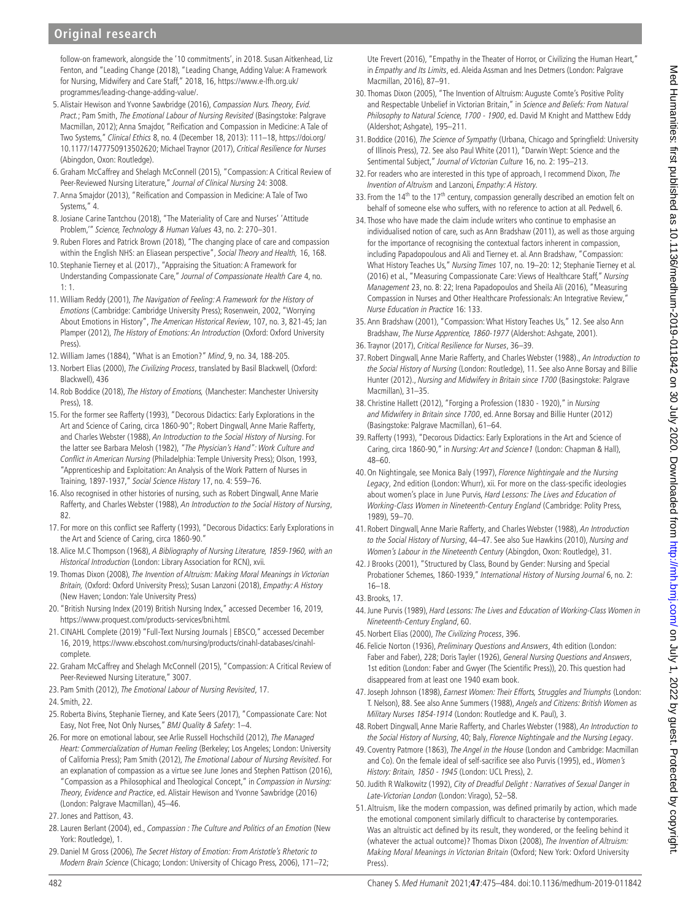## **Original research**

follow-on framework, alongside the '10 commitments', in 2018. [Susan Aitkenhead, Liz](#page-8-47)  [Fenton, and "Leading Change \(2018\)](#page-8-47), "Leading Change, Adding Value: A Framework for Nursing, Midwifery and Care Staff," 2018, 16, [https://www.e-lfh.org.uk/](https://www.e-lfh.org.uk/programmes/leading-change-adding-value/) [programmes/leading-change-adding-value/](https://www.e-lfh.org.uk/programmes/leading-change-adding-value/).

- <span id="page-7-0"></span>5.[Alistair Hewison and Yvonne Sawbridge \(2016\)](#page-9-1), Compassion Nurs. Theory, Evid. Pract.; Pam Smith, The Emotional Labour of Nursing Revisited (Basingstoke: Palgrave Macmillan, 2012); Anna Smajdor, "Reification and Compassion in Medicine: A Tale of Two Systems," Clinical Ethics 8, no. 4 (December 18, 2013): 111–18, [https://doi.org/](https://doi.org/10.1177/1477750913502620) [10.1177/1477750913502620;](https://doi.org/10.1177/1477750913502620) [Michael Traynor \(2017\),](#page-9-2) Critical Resilience for Nurses (Abingdon, Oxon: Routledge).
- <span id="page-7-1"></span>6.[Graham McCaffrey and Shelagh McConnell \(2015\),](#page-9-3) "Compassion: A Critical Review of Peer-Reviewed Nursing Literature," Journal of Clinical Nursing 24: 3008.
- <span id="page-7-2"></span>7.[Anna Smajdor \(2013\),](#page-9-4) "Reification and Compassion in Medicine: A Tale of Two Systems<sup>"</sup> 4
- <span id="page-7-3"></span>8.[Josiane Carine Tantchou \(2018\),](#page-9-5) "The Materiality of Care and Nurses' 'Attitude Problem,'" Science, Technology & Human Values 43, no. 2: 270–301.
- <span id="page-7-4"></span>9. [Ruben Flores and Patrick Brown \(2018\),](#page-8-48) "The changing place of care and compassion within the English NHS: an Eliasean perspective", Social Theory and Health, 16, 168.
- <span id="page-7-5"></span>10. [Stephanie Tierney et al. \(2017\)](#page-9-6)., "Appraising the Situation: A Framework for Understanding Compassionate Care," Journal of Compassionate Health Care 4, no. 1: 1.
- <span id="page-7-6"></span>11.[William Reddy \(2001\),](#page-9-7) The Navigation of Feeling: A Framework for the History of Emotions (Cambridge: Cambridge University Press); [Rosenwein, 2002](#page-9-8), "Worrying About Emotions in History", The American Historical Review, 107, no. 3, 821-45; [Jan](#page-9-9)  [Plamper \(2012\)](#page-9-9), The History of Emotions: An Introduction (Oxford: Oxford University Press).
- <span id="page-7-7"></span>12.[William James \(1884\),](#page-9-10) "What is an Emotion?" Mind, 9, no. 34, 188-205.
- <span id="page-7-8"></span>13. [Norbert Elias \(2000\)](#page-8-49), The Civilizing Process, translated by Basil Blackwell, (Oxford: Blackwell), 436
- <span id="page-7-9"></span>14. [Rob Boddice \(2018\)](#page-8-50), The History of Emotions, (Manchester: Manchester University Press), 18.
- <span id="page-7-10"></span>15. For the former see [Rafferty \(1993\)](#page-9-11), "Decorous Didactics: Early Explorations in the Art and Science of Caring, circa 1860-90"; [Robert Dingwall, Anne Marie Rafferty,](#page-8-51)  [and Charles Webster \(1988\)](#page-8-51), An Introduction to the Social History of Nursing. For the latter see [Barbara Melosh \(1982\)](#page-9-12), "The Physician's Hand": Work Culture and Conflict in American Nursing (Philadelphia: Temple University Press); [Olson, 1993,](#page-9-13) "Apprenticeship and Exploitation: An Analysis of the Work Pattern of Nurses in Training, 1897-1937," Social Science History 17, no. 4: 559–76.
- <span id="page-7-11"></span>16.Also recognised in other histories of nursing, such as [Robert Dingwall, Anne Marie](#page-8-51)  [Rafferty, and Charles Webster \(1988\),](#page-8-51) An Introduction to the Social History of Nursing, 82.
- <span id="page-7-12"></span>17. For more on this conflict see [Rafferty \(1993\),](#page-9-11) "Decorous Didactics: Early Explorations in the Art and Science of Caring, circa 1860-90.
- <span id="page-7-13"></span>18.[Alice M.C Thompson \(1968\),](#page-9-14) A Bibliography of Nursing Literature, 1859-1960, with an Historical Introduction (London: Library Association for RCN), xvii.
- <span id="page-7-14"></span>19. [Thomas Dixon \(2008\)](#page-8-52), The Invention of Altruism: Making Moral Meanings in Victorian Britain, (Oxford: Oxford University Press); [Susan Lanzoni \(2018\),](#page-9-15) Empathy: A History (New Haven; London: Yale University Press)
- <span id="page-7-15"></span>20. "[British Nursing Index \(2019\)](#page-8-53) British Nursing Index," accessed December 16, 2019, [https://www.proquest.com/products-services/bni.html.](https://www.proquest.com/products-services/bni.html)
- <span id="page-7-16"></span>21.[CINAHL Complete \(2019\)](#page-8-54) "Full-Text Nursing Journals | EBSCO," accessed December 16, 2019, [https://www.ebscohost.com/nursing/products/cinahl-databases/cinahl](https://www.ebscohost.com/nursing/products/cinahl-databases/cinahl-complete)[complete.](https://www.ebscohost.com/nursing/products/cinahl-databases/cinahl-complete)
- <span id="page-7-17"></span>22.[Graham McCaffrey and Shelagh McConnell \(2015\),](#page-9-3) "Compassion: A Critical Review of Peer-Reviewed Nursing Literature," 3007.
- <span id="page-7-18"></span>23. [Pam Smith \(2012\),](#page-9-16) The Emotional Labour of Nursing Revisited, 17.
- <span id="page-7-19"></span>24. Smith, 22.
- <span id="page-7-20"></span>25. [Roberta Bivins, Stephanie Tierney, and Kate Seers \(2017\),](#page-8-55) "Compassionate Care: Not Easy, Not Free, Not Only Nurses," BMJ Quality & Safety: 1–4.
- <span id="page-7-21"></span>26. For more on emotional labour, see [Arlie Russell Hochschild \(2012\)](#page-9-17), The Managed Heart: Commercialization of Human Feeling (Berkeley; Los Angeles; London: University of California Press); [Pam Smith \(2012\),](#page-9-16) The Emotional Labour of Nursing Revisited. For an explanation of compassion as a virtue see [June Jones and Stephen Pattison \(2016\),](#page-9-18) "Compassion as a Philosophical and Theological Concept," in Compassion in Nursing: Theory, Evidence and Practice, ed. [Alistair Hewison and Yvonne Sawbridge \(2016\)](#page-9-1) (London: Palgrave Macmillan), 45–46.
- <span id="page-7-22"></span>27.Jones and Pattison, 43.
- <span id="page-7-23"></span>28. [Lauren Berlant \(2004\),](#page-8-56) ed., Compassion : The Culture and Politics of an Emotion (New York: Routledge), 1.
- <span id="page-7-24"></span>29.[Daniel M Gross \(2006\),](#page-9-19) The Secret History of Emotion: From Aristotle's Rhetoric to Modern Brain Science (Chicago; London: University of Chicago Press, 2006), 171–72;

[Ute Frevert \(2016\),](#page-9-20) "Empathy in the Theater of Horror, or Civilizing the Human Heart," in Empathy and Its Limits, ed. Aleida Assman and Ines Detmers (London: Palgrave Macmillan, 2016), 87–91.

- <span id="page-7-25"></span>30. [Thomas Dixon \(2005\)](#page-8-57), "The Invention of Altruism: Auguste Comte's Positive Polity and Respectable Unbelief in Victorian Britain," in Science and Beliefs: From Natural Philosophy to Natural Science, 1700 - 1900, ed. David M Knight and Matthew Eddy (Aldershot; Ashgate), 195–211.
- <span id="page-7-26"></span>31. [Boddice \(2016\)](#page-8-58), The Science of Sympathy (Urbana, Chicago and Springfield: University of Illinois Press), 72. See also [Paul White \(2011\)](#page-9-21), "Darwin Wept: Science and the Sentimental Subject," Journal of Victorian Culture 16, no. 2: 195–213.
- <span id="page-7-27"></span>32. For readers who are interested in this type of approach, I recommend Dixon, The Invention of Altruism and Lanzoni, Empathy: A History.
- <span id="page-7-28"></span>33. From the  $14<sup>th</sup>$  to the  $17<sup>th</sup>$  century, compassion generally described an emotion felt on behalf of someone else who suffers, with no reference to action at all. Pedwell, 6.
- <span id="page-7-29"></span>34. Those who have made the claim include writers who continue to emphasise an individualised notion of care, such as [Ann Bradshaw \(2011\),](#page-8-59) as well as those arguing for the importance of recognising the contextual factors inherent in compassion, including Papadopoulous and Ali and Tierney et. al. Ann Bradshaw, "Compassion: What History Teaches Us," Nursing Times 107, no. 19–20: 12; [Stephanie Tierney et al.](#page-9-22)  [\(2016\)](#page-9-22) et al., "Measuring Compassionate Care: Views of Healthcare Staff," Nursing Management 23, no. 8: 22; [Irena Papadopoulos and Sheila Ali \(2016\)](#page-9-23), "Measuring Compassion in Nurses and Other Healthcare Professionals: An Integrative Review," Nurse Education in Practice 16: 133.
- <span id="page-7-30"></span>35.[Ann Bradshaw \(2001\)](#page-8-60), "Compassion: What History Teaches Us," 12. See also Ann Bradshaw, The Nurse Apprentice, 1860-1977 (Aldershot: Ashgate, 2001).
- <span id="page-7-31"></span>36. [Traynor \(2017\),](#page-9-2) Critical Resilience for Nurses, 36–39.
- <span id="page-7-32"></span>37. [Robert Dingwall, Anne Marie Rafferty, and Charles Webster \(1988\).](#page-8-51), An Introduction to the Social History of Nursing (London: Routledge), 11. See also [Anne Borsay and Billie](#page-8-61)  [Hunter \(2012\)](#page-8-61)., Nursing and Midwifery in Britain since 1700 (Basingstoke: Palgrave Macmillan), 31–35.
- <span id="page-7-33"></span>38.[Christine Hallett \(2012\),](#page-9-24) "Forging a Profession (1830 - 1920)," in Nursing and Midwifery in Britain since 1700, ed. [Anne Borsay and Billie Hunter \(2012\)](#page-8-61) (Basingstoke: Palgrave Macmillan), 61–64.
- <span id="page-7-34"></span>39. [Rafferty \(1993\),](#page-9-11) "Decorous Didactics: Early Explorations in the Art and Science of Caring, circa 1860-90," in Nursing: Art and Science1 (London: Chapman & Hall), 48–60.
- <span id="page-7-35"></span>40.On Nightingale, see [Monica Baly \(1997\),](#page-8-62) Florence Nightingale and the Nursing Legacy, 2nd edition (London: Whurr), xii. For more on the class-specific ideologies about women's place in June Purvis, Hard Lessons: The Lives and Education of Working-Class Women in Nineteenth-Century England (Cambridge: Polity Press, 1989), 59–70.
- <span id="page-7-36"></span>41. [Robert Dingwall, Anne Marie Rafferty, and Charles Webster \(1988\),](#page-8-51) An Introduction to the Social History of Nursing, 44–47. See also [Sue Hawkins \(2010\)](#page-9-25), Nursing and Women's Labour in the Nineteenth Century (Abingdon, Oxon: Routledge), 31.
- <span id="page-7-37"></span>42.[J Brooks \(2001\)](#page-8-63), "Structured by Class, Bound by Gender: Nursing and Special Probationer Schemes, 1860-1939," International History of Nursing Journal 6, no. 2: 16–18.
- <span id="page-7-38"></span>43. Brooks, 17.
- <span id="page-7-39"></span>44.[June Purvis \(1989\)](#page-9-26), Hard Lessons: The Lives and Education of Working-Class Women in Nineteenth-Century England, 60.
- <span id="page-7-40"></span>45.[Norbert Elias \(2000\),](#page-8-49) The Civilizing Process, 396.
- <span id="page-7-41"></span>46. [Felicie Norton \(1936\)](#page-9-27), Preliminary Questions and Answers, 4th edition (London: Faber and Faber), 228; [Doris Tayler \(1926\),](#page-9-28) General Nursing Questions and Answers, 1st edition (London: Faber and Gwyer (The Scientific Press)), 20. This question had disappeared from at least one 1940 exam book.
- <span id="page-7-42"></span>47. [Joseph Johnson \(1898\)](#page-9-29), Earnest Women: Their Efforts, Struggles and Triumphs (London: T. Nelson), 88. See also [Anne Summers \(1988\),](#page-9-30) Angels and Citizens: British Women as Military Nurses 1854-1914 (London: Routledge and K. Paul), 3.
- <span id="page-7-43"></span>48. [Robert Dingwall, Anne Marie Rafferty, and Charles Webster \(1988\),](#page-8-51) An Introduction to the Social History of Nursing, 40; Baly, Florence Nightingale and the Nursing Legacy.
- <span id="page-7-44"></span>49.[Coventry Patmore \(1863\)](#page-9-31), The Angel in the House (London and Cambridge: Macmillan and Co). On the female ideal of self-sacrifice see also [Purvis \(1995\),](#page-9-32) ed., Women's History: Britain, 1850 - 1945 (London: UCL Press), 2.
- <span id="page-7-45"></span>50.[Judith R Walkowitz \(1992\)](#page-9-33), City of Dreadful Delight : Narratives of Sexual Danger in Late-Victorian London (London: Virago), 52–58.
- <span id="page-7-46"></span>51.Altruism, like the modern compassion, was defined primarily by action, which made the emotional component similarly difficult to characterise by contemporaries. Was an altruistic act defined by its result, they wondered, or the feeling behind it (whatever the actual outcome)? [Thomas Dixon \(2008\),](#page-8-52) The Invention of Altruism: Making Moral Meanings in Victorian Britain (Oxford; New York: Oxford University Press).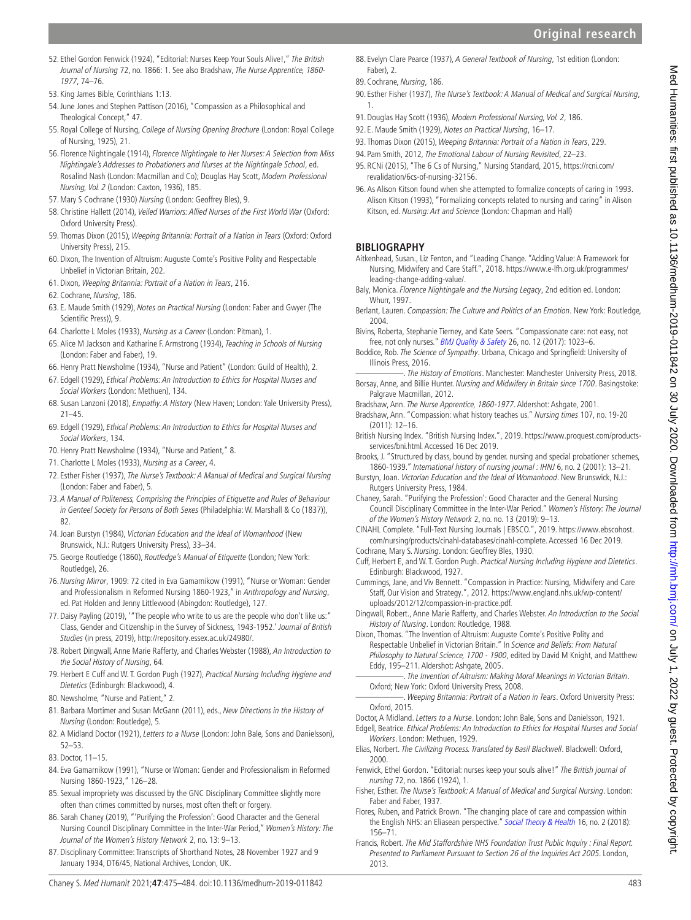Med Humanities: first published as 10.1136/medhum-2019-011842 on 30 July 2020. Downloaded from http://mh.bmj.com/ on July 1, 2022 by guest. Protected by copyright Med Humanities: first published as 10.1136/medhum-2019-011842 on 30 July 2020. Downloaded from <http://mh.bmj.com/> on July 1, 2022 by guest. Protected by copyright.

- <span id="page-8-0"></span>52. [Ethel Gordon Fenwick \(1924\),](#page-8-64) "Editorial: Nurses Keep Your Souls Alive!," The British Journal of Nursing 72, no. 1866: 1. See also Bradshaw, The Nurse Apprentice, 1860-1977, 74–76.
- <span id="page-8-1"></span>53. King James Bible, Corinthians 1:13.
- <span id="page-8-2"></span>54.[June Jones and Stephen Pattison \(2016\),](#page-9-18) "Compassion as a Philosophical and Theological Concept," 47.
- <span id="page-8-3"></span>55. Royal College of Nursing, College of Nursing Opening Brochure (London: Royal College of Nursing, 1925), 21.
- <span id="page-8-4"></span>56. [Florence Nightingale \(1914\)](#page-9-34), Florence Nightingale to Her Nurses: A Selection from Miss Nightingale's Addresses to Probationers and Nurses at the Nightingale School, ed. Rosalind Nash (London: Macmillan and Co); Douglas Hay Scott, Modern Professional Nursing, Vol. 2 (London: Caxton, 1936), 185.
- <span id="page-8-5"></span>57.[Mary S Cochrane \(1930\)](#page-8-65) Nursing (London: Geoffrey Bles), 9.
- <span id="page-8-6"></span>58.[Christine Hallett \(2014\),](#page-9-35) Veiled Warriors: Allied Nurses of the First World War (Oxford: Oxford University Press).
- <span id="page-8-7"></span>59. [Thomas Dixon \(2015\)](#page-8-66), Weeping Britannia: Portrait of a Nation in Tears (Oxford: Oxford University Press), 215.
- <span id="page-8-8"></span>60.Dixon, The Invention of Altruism: Auguste Comte's Positive Polity and Respectable Unbelief in Victorian Britain, 202.
- <span id="page-8-9"></span>61.Dixon, Weeping Britannia: Portrait of a Nation in Tears, 216.
- <span id="page-8-10"></span>62.Cochrane, Nursing, 186.
- <span id="page-8-11"></span>63. [E. Maude Smith \(1929\),](#page-9-36) Notes on Practical Nursing (London: Faber and Gwyer (The Scientific Press)), 9.
- <span id="page-8-12"></span>64.[Charlotte L Moles \(1933\)](#page-9-37), Nursing as a Career (London: Pitman), 1.
- <span id="page-8-13"></span>65.[Alice M Jackson and Katharine F. Armstrong \(1934\)](#page-9-38), Teaching in Schools of Nursing (London: Faber and Faber), 19.
- <span id="page-8-14"></span>66.[Henry Pratt Newsholme \(1934\)](#page-9-39), "Nurse and Patient" (London: Guild of Health), 2.
- <span id="page-8-15"></span>67. [Edgell \(1929\),](#page-8-67) Ethical Problems: An Introduction to Ethics for Hospital Nurses and Social Workers (London: Methuen), 134.
- <span id="page-8-16"></span>68. [Susan Lanzoni \(2018\),](#page-9-15) Empathy: A History (New Haven; London: Yale University Press), 21–45.
- <span id="page-8-17"></span>69. [Edgell \(1929\),](#page-8-67) Ethical Problems: An Introduction to Ethics for Hospital Nurses and Social Workers, 134.
- <span id="page-8-18"></span>70.[Henry Pratt Newsholme \(1934\)](#page-9-39), "Nurse and Patient," 8.
- <span id="page-8-19"></span>71. [Charlotte L Moles \(1933\)](#page-9-37), Nursing as a Career, 4.
- <span id="page-8-20"></span>72. [Esther Fisher \(1937\),](#page-8-68) The Nurse's Textbook: A Manual of Medical and Surgical Nursing (London: Faber and Faber), 5.
- <span id="page-8-21"></span>73.A Manual of Politeness, Comprising the Principles of Etiquette and Rules of Behaviour in Genteel Society for Persons of Both Sexes (Philadelphia: [W. Marshall & Co \(1837\)\)](#page-9-40), 82.
- <span id="page-8-22"></span>74.[Joan Burstyn \(1984\),](#page-8-69) Victorian Education and the Ideal of Womanhood (New Brunswick, N.J.: Rutgers University Press), 33–34.
- <span id="page-8-23"></span>75.[George Routledge \(1860\)](#page-9-41), Routledge's Manual of Etiquette (London; New York: Routledge), 26.
- <span id="page-8-24"></span>76.Nursing Mirror, 1909: 72 cited in [Eva Gamarnikow \(1991\)](#page-9-42), "Nurse or Woman: Gender and Professionalism in Reformed Nursing 1860-1923," in Anthropology and Nursing, ed. Pat Holden and Jenny Littlewood (Abingdon: Routledge), 127.
- <span id="page-8-25"></span>77.[Daisy Payling \(2019\),](#page-9-43) '"The people who write to us are the people who don't like us:" Class, Gender and Citizenship in the Survey of Sickness, 1943-1952.' Journal of British Studies (in press, 2019), <http://repository.essex.ac.uk/24980/>.
- <span id="page-8-26"></span>78. [Robert Dingwall, Anne Marie Rafferty, and Charles Webster \(1988\)](#page-8-51), An Introduction to the Social History of Nursing, 64.
- <span id="page-8-27"></span>79. [Herbert E Cuff and W. T. Gordon Pugh \(1927\)](#page-8-70), Practical Nursing Including Hygiene and Dietetics (Edinburgh: Blackwood), 4.
- <span id="page-8-28"></span>80.Newsholme, "Nurse and Patient," 2.
- <span id="page-8-29"></span>81. [Barbara Mortimer and Susan McGann \(2011\)](#page-9-44), eds., New Directions in the History of Nursing (London: Routledge), 5.
- <span id="page-8-30"></span>82. [A Midland Doctor \(1921\)](#page-8-71), Letters to a Nurse (London: John Bale, Sons and Danielsson), 52–53.
- <span id="page-8-31"></span>83.Doctor, 11–15.
- <span id="page-8-32"></span>84. [Eva Gamarnikow \(1991\)](#page-9-42), "Nurse or Woman: Gender and Professionalism in Reformed Nursing 1860-1923," 126–28.
- <span id="page-8-33"></span>85. Sexual impropriety was discussed by the GNC Disciplinary Committee slightly more often than crimes committed by nurses, most often theft or forgery.
- <span id="page-8-34"></span>86. [Sarah Chaney \(2019\)](#page-8-72), "'Purifying the Profession': Good Character and the General Nursing Council Disciplinary Committee in the Inter-War Period," Women's History: The Journal of the Women's History Network 2, no. 13: 9–13.
- <span id="page-8-35"></span>87.Disciplinary Committee: Transcripts of Shorthand Notes, 28 November 1927 and 9 January 1934, DT6/45, National Archives, London, UK.
- <span id="page-8-36"></span>88. [Evelyn Clare Pearce \(1937\),](#page-9-45) A General Textbook of Nursing, 1st edition (London: Faber), 2.
- <span id="page-8-37"></span>89.Cochrane, Nursing, 186.
- <span id="page-8-38"></span>90. [Esther Fisher \(1937\)](#page-8-68), The Nurse's Textbook: A Manual of Medical and Surgical Nursing, 1.
- <span id="page-8-39"></span>91.[Douglas Hay Scott \(1936\)](#page-9-46), Modern Professional Nursing, Vol. 2, 186.
- <span id="page-8-40"></span>92. [E. Maude Smith \(1929\),](#page-9-36) Notes on Practical Nursing, 16–17.
- <span id="page-8-41"></span>93. [Thomas Dixon \(2015\)](#page-8-66), Weeping Britannia: Portrait of a Nation in Tears, 229.
- <span id="page-8-42"></span>94. [Pam Smith, 2012](#page-9-16), The Emotional Labour of Nursing Revisited, 22–23.
- <span id="page-8-43"></span>95. [RCNi \(2015\),](#page-9-47) "The 6 Cs of Nursing," Nursing Standard, 2015, [https://rcni.com/](https://rcni.com/revalidation/6cs-of-nursing-32156) [revalidation/6cs-of-nursing-32156.](https://rcni.com/revalidation/6cs-of-nursing-32156)
- <span id="page-8-44"></span>96.As Alison Kitson found when she attempted to formalize concepts of caring in 1993. [Alison Kitson \(1993\)](#page-9-48), "Formalizing concepts related to nursing and caring" in Alison Kitson, ed. Nursing: Art and Science (London: Chapman and Hall)

### **Bibliography**

- <span id="page-8-47"></span>Aitkenhead, Susan., Liz Fenton, and "Leading Change. "Adding Value: A Framework for Nursing, Midwifery and Care Staff.", 2018. [https://www.e-lfh.org.uk/programmes/](https://www.e-lfh.org.uk/programmes/leading-change-adding-value/) [leading-change-adding-value/](https://www.e-lfh.org.uk/programmes/leading-change-adding-value/).
- <span id="page-8-62"></span>Baly, Monica. Florence Nightingale and the Nursing Legacy, 2nd edition ed. London: Whurr, 1997.
- <span id="page-8-56"></span>Berlant, Lauren. Compassion: The Culture and Politics of an Emotion. New York: Routledge, 2004.
- <span id="page-8-55"></span>Bivins, Roberta, Stephanie Tierney, and Kate Seers. "Compassionate care: not easy, not free, not only nurses." **[BMJ Quality & Safety](http://dx.doi.org/10.1136/bmjqs-2017-007005) 26**, no. 12 (2017): 1023-6.
- <span id="page-8-58"></span>Boddice, Rob. The Science of Sympathy. Urbana, Chicago and Springfield: University of Illinois Press, 2016.
- <span id="page-8-61"></span><span id="page-8-50"></span>. The History of Emotions. Manchester: Manchester University Press, 2018. Borsay, Anne, and Billie Hunter. Nursing and Midwifery in Britain since 1700. Basingstoke:
- Palgrave Macmillan, 2012. Bradshaw, Ann. The Nurse Apprentice, 1860-1977. Aldershot: Ashgate, 2001.
- <span id="page-8-60"></span><span id="page-8-59"></span>Bradshaw, Ann. "Compassion: what history teaches us." Nursing times 107, no. 19-20 (2011): 12–16.
- <span id="page-8-53"></span>British Nursing Index. "British Nursing Index.", 2019. [https://www.proquest.com/products](https://www.proquest.com/products-services/bni.html)[services/bni.html](https://www.proquest.com/products-services/bni.html). Accessed 16 Dec 2019.
- <span id="page-8-63"></span>Brooks, J. "Structured by class, bound by gender. nursing and special probationer schemes, 1860-1939." International history of nursing journal : IHNJ 6, no. 2 (2001): 13–21.
- <span id="page-8-69"></span>Burstyn, Joan. Victorian Education and the Ideal of Womanhood. New Brunswick, N.J.: Rutgers University Press, 1984.
- <span id="page-8-72"></span>Chaney, Sarah. "Purifying the Profession': Good Character and the General Nursing Council Disciplinary Committee in the Inter-War Period." Women's History: The Journal of the Women's History Network 2, no. no. 13 (2019): 9–13.
- <span id="page-8-54"></span>CINAHL Complete. "Full-Text Nursing Journals | EBSCO.", 2019. [https://www.ebscohost.](https://www.ebscohost.com/nursing/products/cinahl-databases/cinahl-complete) [com/nursing/products/cinahl-databases/cinahl-complete](https://www.ebscohost.com/nursing/products/cinahl-databases/cinahl-complete). Accessed 16 Dec 2019.
- <span id="page-8-65"></span>Cochrane, Mary S. Nursing. London: Geoffrey Bles, 1930. Cuff, Herbert E, and W. T. Gordon Pugh. Practical Nursing Including Hygiene and Dietetics.
- <span id="page-8-70"></span>Edinburgh: Blackwood, 1927.
- <span id="page-8-46"></span>Cummings, Jane, and Viv Bennett. "Compassion in Practice: Nursing, Midwifery and Care Staff, Our Vision and Strategy.", 2012. [https://www.england.nhs.uk/wp-content/](https://www.england.nhs.uk/wp-content/uploads/2012/12/compassion-in-practice.pdf) [uploads/2012/12/compassion-in-practice.pdf.](https://www.england.nhs.uk/wp-content/uploads/2012/12/compassion-in-practice.pdf)
- <span id="page-8-51"></span>Dingwall, Robert., Anne Marie Rafferty, and Charles Webster. An Introduction to the Social History of Nursing. London: Routledge, 1988.
- <span id="page-8-57"></span>Dixon, Thomas. "The Invention of Altruism: Auguste Comte's Positive Polity and Respectable Unbelief in Victorian Britain." In Science and Beliefs: From Natural Philosophy to Natural Science, 1700 - 1900, edited by David M Knight, and Matthew Eddy, 195–211. Aldershot: Ashgate, 2005.
- <span id="page-8-52"></span>. The Invention of Altruism: Making Moral Meanings in Victorian Britain. Oxford; New York: Oxford University Press, 2008.
- <span id="page-8-66"></span>-. Weeping Britannia: Portrait of a Nation in Tears. Oxford University Press: Oxford, 2015.
- <span id="page-8-71"></span><span id="page-8-67"></span>Doctor, A Midland. Letters to a Nurse. London: John Bale, Sons and Danielsson, 1921. Edgell, Beatrice. Ethical Problems: An Introduction to Ethics for Hospital Nurses and Social Workers. London: Methuen, 1929.
- <span id="page-8-49"></span>Elias, Norbert. The Civilizing Process. Translated by Basil Blackwell. Blackwell: Oxford, 2000.
- <span id="page-8-64"></span>Fenwick, Ethel Gordon. "Editorial: nurses keep your souls alive!" The British journal of nursing 72, no. 1866 (1924), 1.
- <span id="page-8-68"></span>Fisher, Esther. The Nurse's Textbook: A Manual of Medical and Surgical Nursing. London: Faber and Faber, 1937.
- <span id="page-8-48"></span>Flores, Ruben, and Patrick Brown. "The changing place of care and compassion within the English NHS: an Eliasean perspective." [Social Theory & Health](http://dx.doi.org/10.1057/s41285-017-0049-y) 16, no. 2 (2018): 156–71.
- <span id="page-8-45"></span>Francis, Robert. The Mid Staffordshire NHS Foundation Trust Public Inquiry : Final Report. Presented to Parliament Pursuant to Section 26 of the Inquiries Act 2005. London, 2013.